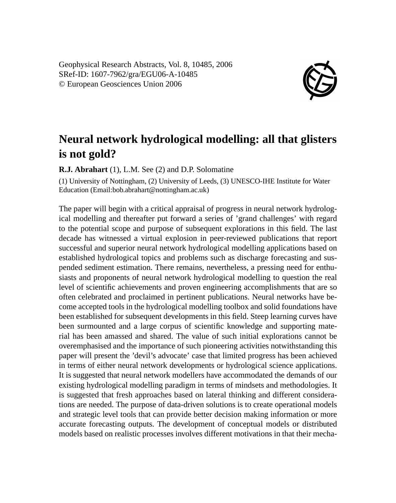Geophysical Research Abstracts, Vol. 8, 10485, 2006 SRef-ID: 1607-7962/gra/EGU06-A-10485 © European Geosciences Union 2006



## **Neural network hydrological modelling: all that glisters is not gold?**

**R.J. Abrahart** (1), L.M. See (2) and D.P. Solomatine

(1) University of Nottingham, (2) University of Leeds, (3) UNESCO-IHE Institute for Water Education (Email:bob.abrahart@nottingham.ac.uk)

The paper will begin with a critical appraisal of progress in neural network hydrological modelling and thereafter put forward a series of 'grand challenges' with regard to the potential scope and purpose of subsequent explorations in this field. The last decade has witnessed a virtual explosion in peer-reviewed publications that report successful and superior neural network hydrological modelling applications based on established hydrological topics and problems such as discharge forecasting and suspended sediment estimation. There remains, nevertheless, a pressing need for enthusiasts and proponents of neural network hydrological modelling to question the real level of scientific achievements and proven engineering accomplishments that are so often celebrated and proclaimed in pertinent publications. Neural networks have become accepted tools in the hydrological modelling toolbox and solid foundations have been established for subsequent developments in this field. Steep learning curves have been surmounted and a large corpus of scientific knowledge and supporting material has been amassed and shared. The value of such initial explorations cannot be overemphasised and the importance of such pioneering activities notwithstanding this paper will present the 'devil's advocate' case that limited progress has been achieved in terms of either neural network developments or hydrological science applications. It is suggested that neural network modellers have accommodated the demands of our existing hydrological modelling paradigm in terms of mindsets and methodologies. It is suggested that fresh approaches based on lateral thinking and different considerations are needed. The purpose of data-driven solutions is to create operational models and strategic level tools that can provide better decision making information or more accurate forecasting outputs. The development of conceptual models or distributed models based on realistic processes involves different motivations in that their mecha